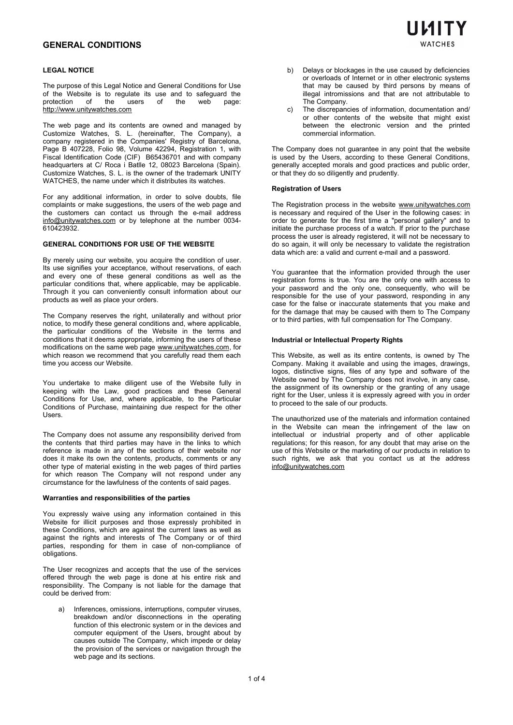### **LEGAL NOTICE**

The purpose of this Legal Notice and General Conditions for Use of the Website is to regulate its use and to safeguard the protection of the users of the web page protection [http://www.unitywatches.com](http://www.unitywatches.com/)

The web page and its contents are owned and managed by Customize Watches, S. L. (hereinafter, The Company), a company registered in the Companies' Registry of Barcelona, Page B 407228, Folio 98, Volume 42294, Registration 1, with Fiscal Identification Code (CIF) B65436701 and with company headquarters at C/ Roca i Batlle 12, 08023 Barcelona (Spain). Customize Watches, S. L. is the owner of the trademark UNITY WATCHES, the name under which it distributes its watches.

For any additional information, in order to solve doubts, file complaints or make suggestions, the users of the web page and the customers can contact us through the e-mail address [info@unitywatches.com](mailto:info@unitywatches.com) or by telephone at the number 0034- 610423932.

#### **GENERAL CONDITIONS FOR USE OF THE WEBSITE**

By merely using our website, you acquire the condition of user. Its use signifies your acceptance, without reservations, of each and every one of these general conditions as well as the particular conditions that, where applicable, may be applicable. Through it you can conveniently consult information about our products as well as place your orders.

The Company reserves the right, unilaterally and without prior notice, to modify these general conditions and, where applicable, the particular conditions of the Website in the terms and conditions that it deems appropriate, informing the users of these modifications on the same web page [www.unitywatches.com](http://www.unitywatches.com/), for which reason we recommend that you carefully read them each time you access our Website.

You undertake to make diligent use of the Website fully in keeping with the Law, good practices and these General Conditions for Use, and, where applicable, to the Particular Conditions of Purchase, maintaining due respect for the other **Users** 

The Company does not assume any responsibility derived from the contents that third parties may have in the links to which reference is made in any of the sections of their website nor does it make its own the contents, products, comments or any other type of material existing in the web pages of third parties for which reason The Company will not respond under any circumstance for the lawfulness of the contents of said pages.

### **Warranties and responsibilities of the parties**

You expressly waive using any information contained in this Website for illicit purposes and those expressly prohibited in these Conditions, which are against the current laws as well as against the rights and interests of The Company or of third parties, responding for them in case of non-compliance of obligations.

The User recognizes and accepts that the use of the services offered through the web page is done at his entire risk and responsibility. The Company is not liable for the damage that could be derived from:

Inferences, omissions, interruptions, computer viruses, breakdown and/or disconnections in the operating function of this electronic system or in the devices and computer equipment of the Users, brought about by causes outside The Company, which impede or delay the provision of the services or navigation through the web page and its sections.

- b) Delays or blockages in the use caused by deficiencies or overloads of Internet or in other electronic systems that may be caused by third persons by means of illegal intromissions and that are not attributable to The Company.
- c) The discrepancies of information, documentation and/ or other contents of the website that might exist between the electronic version and the printed commercial information.

The Company does not guarantee in any point that the website is used by the Users, according to these General Conditions, generally accepted morals and good practices and public order, or that they do so diligently and prudently.

#### **Registration of Users**

The Registration process in the website [www.unitywatches.com](http://www.unitywatches.com/) is necessary and required of the User in the following cases: in order to generate for the first time a "personal gallery" and to initiate the purchase process of a watch. If prior to the purchase process the user is already registered, it will not be necessary to do so again, it will only be necessary to validate the registration data which are: a valid and current e-mail and a password.

You guarantee that the information provided through the user registration forms is true. You are the only one with access to your password and the only one, consequently, who will be responsible for the use of your password, responding in any case for the false or inaccurate statements that you make and for the damage that may be caused with them to The Company or to third parties, with full compensation for The Company.

#### **Industrial or Intellectual Property Rights**

This Website, as well as its entire contents, is owned by The Company. Making it available and using the images, drawings, logos, distinctive signs, files of any type and software of the Website owned by The Company does not involve, in any case, the assignment of its ownership or the granting of any usage right for the User, unless it is expressly agreed with you in order to proceed to the sale of our products.

The unauthorized use of the materials and information contained in the Website can mean the infringement of the law on intellectual or industrial property and of other applicable regulations; for this reason, for any doubt that may arise on the use of this Website or the marketing of our products in relation to such rights, we ask that you contact us at the address [info@unitywatches.com](mailto:info@unitywatches.com)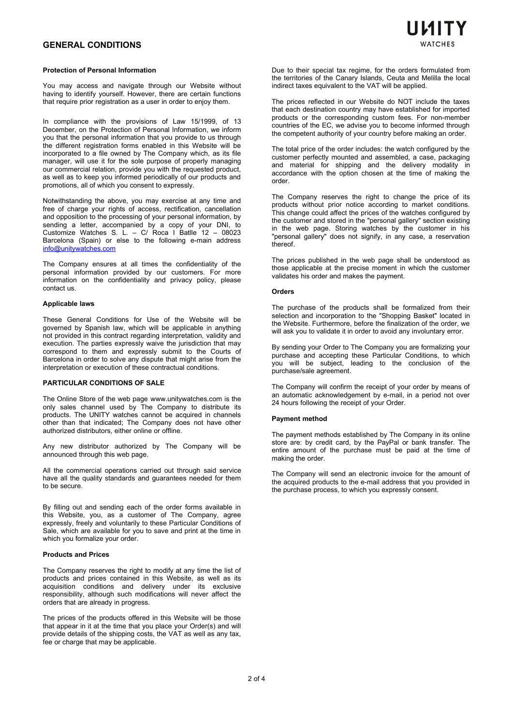## **Protection of Personal Information**

You may access and navigate through our Website without having to identify yourself. However, there are certain functions that require prior registration as a user in order to enjoy them.

In compliance with the provisions of Law 15/1999, of 13 December, on the Protection of Personal Information, we inform you that the personal information that you provide to us through the different registration forms enabled in this Website will be incorporated to a file owned by The Company which, as its file manager, will use it for the sole purpose of properly managing our commercial relation, provide you with the requested product, as well as to keep you informed periodically of our products and promotions, all of which you consent to expressly.

Notwithstanding the above, you may exercise at any time and free of charge your rights of access, rectification, cancellation and opposition to the processing of your personal information, by sending a letter, accompanied by a copy of your DNI, to Customize Watches S. L. – C/ Roca I Batlle 12 – 08023 Barcelona (Spain) or else to the following e-main address [info@unitywatches.com](mailto:info@unitywatches.com)

The Company ensures at all times the confidentiality of the personal information provided by our customers. For more information on the confidentiality and privacy policy, please contact us.

#### **Applicable laws**

These General Conditions for Use of the Website will be governed by Spanish law, which will be applicable in anything not provided in this contract regarding interpretation, validity and execution. The parties expressly waive the jurisdiction that may correspond to them and expressly submit to the Courts of Barcelona in order to solve any dispute that might arise from the interpretation or execution of these contractual conditions.

## **PARTICULAR CONDITIONS OF SALE**

The Online Store of the web page www.unitywatches.com is the only sales channel used by The Company to distribute its products. The UNITY watches cannot be acquired in channels other than that indicated; The Company does not have other authorized distributors, either online or offline.

Any new distributor authorized by The Company will be announced through this web page.

All the commercial operations carried out through said service have all the quality standards and guarantees needed for them to be secure.

By filling out and sending each of the order forms available in this Website, you, as a customer of The Company, agree expressly, freely and voluntarily to these Particular Conditions of Sale, which are available for you to save and print at the time in which you formalize your order.

#### **Products and Prices**

The Company reserves the right to modify at any time the list of products and prices contained in this Website, as well as its acquisition conditions and delivery under its exclusive responsibility, although such modifications will never affect the orders that are already in progress.

The prices of the products offered in this Website will be those that appear in it at the time that you place your Order(s) and will provide details of the shipping costs, the VAT as well as any tax, fee or charge that may be applicable.

Due to their special tax regime, for the orders formulated from the territories of the Canary Islands, Ceuta and Melilla the local indirect taxes equivalent to the VAT will be applied.

The prices reflected in our Website do NOT include the taxes that each destination country may have established for imported products or the corresponding custom fees. For non-member countries of the EC, we advise you to become informed through the competent authority of your country before making an order.

The total price of the order includes: the watch configured by the customer perfectly mounted and assembled, a case, packaging and material for shipping and the delivery modality in accordance with the option chosen at the time of making the order.

The Company reserves the right to change the price of its products without prior notice according to market conditions. This change could affect the prices of the watches configured by the customer and stored in the "personal gallery" section existing in the web page. Storing watches by the customer in his "personal gallery" does not signify, in any case, a reservation thereof.

The prices published in the web page shall be understood as those applicable at the precise moment in which the customer validates his order and makes the payment.

#### **Orders**

The purchase of the products shall be formalized from their selection and incorporation to the "Shopping Basket" located in the Website. Furthermore, before the finalization of the order, we will ask you to validate it in order to avoid any involuntary error.

By sending your Order to The Company you are formalizing your purchase and accepting these Particular Conditions, to which you will be subject, leading to the conclusion of the purchase/sale agreement.

The Company will confirm the receipt of your order by means of an automatic acknowledgement by e-mail, in a period not over 24 hours following the receipt of your Order.

### **Payment method**

The payment methods established by The Company in its online store are: by credit card, by the PayPal or bank transfer. The entire amount of the purchase must be paid at the time of making the order.

The Company will send an electronic invoice for the amount of the acquired products to the e-mail address that you provided in the purchase process, to which you expressly consent.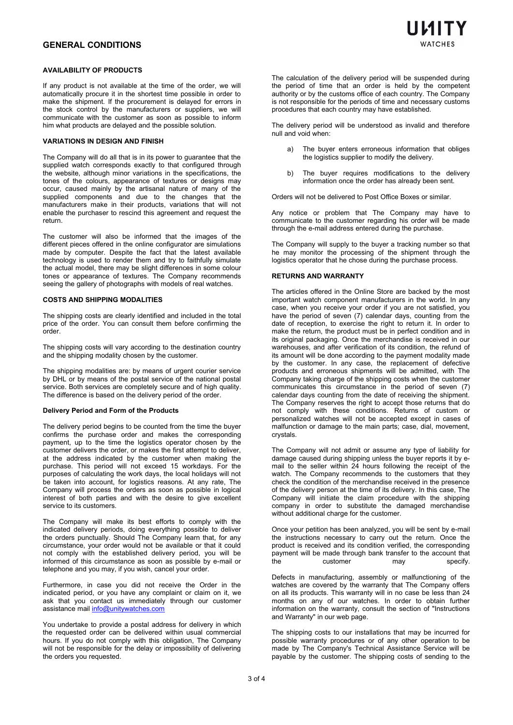

## **AVAILABILITY OF PRODUCTS**

If any product is not available at the time of the order, we will automatically procure it in the shortest time possible in order to make the shipment. If the procurement is delayed for errors in the stock control by the manufacturers or suppliers, we will communicate with the customer as soon as possible to inform him what products are delayed and the possible solution.

#### **VARIATIONS IN DESIGN AND FINISH**

The Company will do all that is in its power to guarantee that the supplied watch corresponds exactly to that configured through the website, although minor variations in the specifications, the tones of the colours, appearance of textures or designs may occur, caused mainly by the artisanal nature of many of the supplied components and due to the changes that the manufacturers make in their products, variations that will not enable the purchaser to rescind this agreement and request the return.

The customer will also be informed that the images of the different pieces offered in the online configurator are simulations made by computer. Despite the fact that the latest available technology is used to render them and try to faithfully simulate the actual model, there may be slight differences in some colour tones or appearance of textures. The Company recommends seeing the gallery of photographs with models of real watches.

#### **COSTS AND SHIPPING MODALITIES**

The shipping costs are clearly identified and included in the total price of the order. You can consult them before confirming the order.

The shipping costs will vary according to the destination country and the shipping modality chosen by the customer.

The shipping modalities are: by means of urgent courier service by DHL or by means of the postal service of the national postal service. Both services are completely secure and of high quality. The difference is based on the delivery period of the order.

## **Delivery Period and Form of the Products**

The delivery period begins to be counted from the time the buyer confirms the purchase order and makes the corresponding payment, up to the time the logistics operator chosen by the customer delivers the order, or makes the first attempt to deliver, at the address indicated by the customer when making the purchase. This period will not exceed 15 workdays. For the purposes of calculating the work days, the local holidays will not be taken into account, for logistics reasons. At any rate, The Company will process the orders as soon as possible in logical interest of both parties and with the desire to give excellent service to its customers.

The Company will make its best efforts to comply with the indicated delivery periods, doing everything possible to deliver the orders punctually. Should The Company learn that, for any circumstance, your order would not be available or that it could not comply with the established delivery period, you will be informed of this circumstance as soon as possible by e-mail or telephone and you may, if you wish, cancel your order.

Furthermore, in case you did not receive the Order in the indicated period, or you have any complaint or claim on it, we ask that you contact us immediately through our customer assistance mail [info@unitywatches.com](mailto:info@unitywatches.com)

You undertake to provide a postal address for delivery in which the requested order can be delivered within usual commercial hours. If you do not comply with this obligation, The Company will not be responsible for the delay or impossibility of delivering the orders you requested.

The calculation of the delivery period will be suspended during the period of time that an order is held by the competent authority or by the customs office of each country. The Company is not responsible for the periods of time and necessary customs procedures that each country may have established.

The delivery period will be understood as invalid and therefore null and void when:

- a) The buyer enters erroneous information that obliges the logistics supplier to modify the delivery.
- b) The buyer requires modifications to the delivery information once the order has already been sent.

Orders will not be delivered to Post Office Boxes or similar.

Any notice or problem that The Company may have to communicate to the customer regarding his order will be made through the e-mail address entered during the purchase.

The Company will supply to the buyer a tracking number so that he may monitor the processing of the shipment through the logistics operator that he chose during the purchase process.

### **RETURNS AND WARRANTY**

The articles offered in the Online Store are backed by the most important watch component manufacturers in the world. In any case, when you receive your order if you are not satisfied, you have the period of seven (7) calendar days, counting from the date of reception, to exercise the right to return it. In order to make the return, the product must be in perfect condition and in its original packaging. Once the merchandise is received in our warehouses, and after verification of its condition, the refund of its amount will be done according to the payment modality made by the customer. In any case, the replacement of defective products and erroneous shipments will be admitted, with The Company taking charge of the shipping costs when the customer communicates this circumstance in the period of seven (7) calendar days counting from the date of receiving the shipment. The Company reserves the right to accept those returns that do not comply with these conditions. Returns of custom or personalized watches will not be accepted except in cases of malfunction or damage to the main parts; case, dial, movement, crystals.

The Company will not admit or assume any type of liability for damage caused during shipping unless the buyer reports it by email to the seller within 24 hours following the receipt of the watch. The Company recommends to the customers that they check the condition of the merchandise received in the presence of the delivery person at the time of its delivery. In this case, The Company will initiate the claim procedure with the shipping company in order to substitute the damaged merchandise without additional charge for the customer.

Once your petition has been analyzed, you will be sent by e-mail the instructions necessary to carry out the return. Once the product is received and its condition verified, the corresponding payment will be made through bank transfer to the account that<br>the customer may specify. customer

Defects in manufacturing, assembly or malfunctioning of the watches are covered by the warranty that The Company offers on all its products. This warranty will in no case be less than 24 months on any of our watches. In order to obtain further information on the warranty, consult the section of "Instructions and Warranty" in our web page.

The shipping costs to our installations that may be incurred for possible warranty procedures or of any other operation to be made by The Company's Technical Assistance Service will be payable by the customer. The shipping costs of sending to the